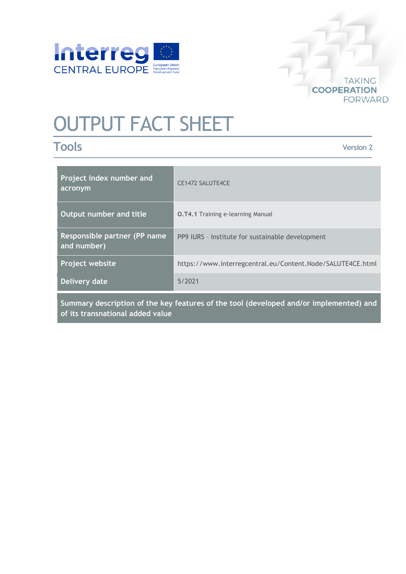

## **TAKING COOPERATION FORWARD**

# OUTPUT FACT SHEET

# **Tools**

**Version 2**

| Project index number and<br>acronym          | <b>CE1472 SALUTE4CE</b>                                    |
|----------------------------------------------|------------------------------------------------------------|
| Output number and title                      | <b>O.T4.1 Training e-learning Manual</b>                   |
| Responsible partner (PP name)<br>and number) | PP9 IURS - Institute for sustainable development           |
| Project website                              | https://www.interregcentral.eu/Content.Node/SALUTE4CE.html |
| Delivery date                                | 5/2021                                                     |
|                                              |                                                            |

**Summary description of the key features of the tool (developed and/or implemented) and of its transnational added value**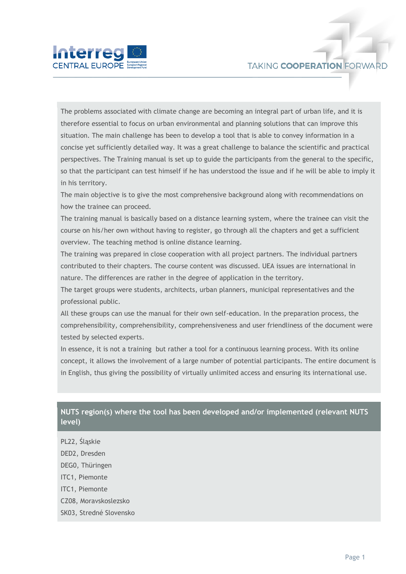



The problems associated with climate change are becoming an integral part of urban life, and it is therefore essential to focus on urban environmental and planning solutions that can improve this situation. The main challenge has been to develop a tool that is able to convey information in a concise yet sufficiently detailed way. It was a great challenge to balance the scientific and practical perspectives. The Training manual is set up to guide the participants from the general to the specific, so that the participant can test himself if he has understood the issue and if he will be able to imply it in his territory.

The main objective is to give the most comprehensive background along with recommendations on how the trainee can proceed.

The training manual is basically based on a distance learning system, where the trainee can visit the course on his/her own without having to register, go through all the chapters and get a sufficient overview. The teaching method is online distance learning.

The training was prepared in close cooperation with all project partners. The individual partners contributed to their chapters. The course content was discussed. UEA issues are international in nature. The differences are rather in the degree of application in the territory.

The target groups were students, architects, urban planners, municipal representatives and the professional public.

All these groups can use the manual for their own self-education. In the preparation process, the comprehensibility, comprehensibility, comprehensiveness and user friendliness of the document were tested by selected experts.

In essence, it is not a training but rather a tool for a continuous learning process. With its online concept, it allows the involvement of a large number of potential participants. The entire document is in English, thus giving the possibility of virtually unlimited access and ensuring its international use.

### **NUTS region(s) where the tool has been developed and/or implemented (relevant NUTS level)**

- PL22, Śląskie
- DED2, Dresden
- DEG0, Thüringen
- ITC1, Piemonte
- ITC1, Piemonte
- CZ08, Moravskoslezsko
- SK03, Stredné Slovensko